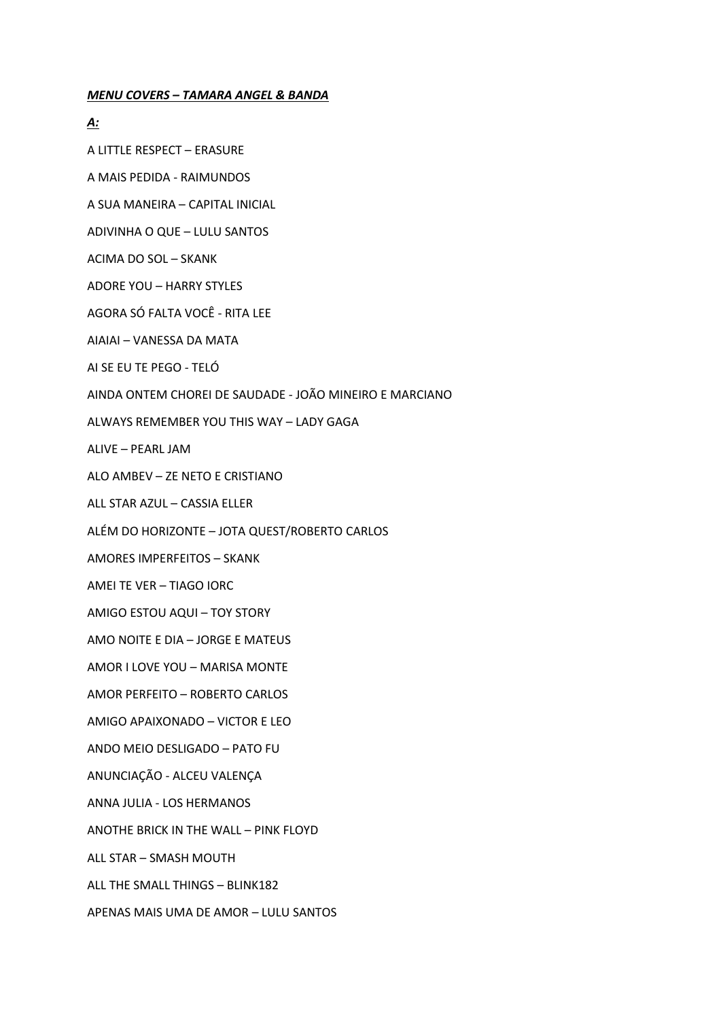#### **MENU COVERS - TAMARA ANGEL & BANDA**

#### <u>A:</u>

A LITTLE RESPECT - ERASURE

A MAIS PEDIDA - RAIMUNDOS

A SUA MANEIRA - CAPITAL INICIAL

ADIVINHA O QUE - LULU SANTOS

ACIMA DO SOL - SKANK

**ADORE YOU - HARRY STYLES** 

AGORA SÓ FALTA VOCÊ - RITA LEE

AIAIAI - VANESSA DA MATA

AI SE EU TE PEGO - TELÓ

AINDA ONTEM CHOREI DE SAUDADE - JOÃO MINEIRO E MARCIANO

ALWAYS REMEMBER YOU THIS WAY - LADY GAGA

ALIVE - PEARL JAM

ALO AMBEV - ZE NETO E CRISTIANO

ALL STAR AZUL - CASSIA ELLER

ALÉM DO HORIZONTE - JOTA QUEST/ROBERTO CARLOS

**AMORES IMPERFEITOS - SKANK** 

AMEI TE VER - TIAGO IORC

AMIGO ESTOU AQUI - TOY STORY

AMO NOITE E DIA - JORGE E MATEUS

AMOR I LOVE YOU - MARISA MONTE

AMOR PERFEITO - ROBERTO CARLOS

AMIGO APAIXONADO - VICTOR E LEO

ANDO MEIO DESLIGADO - PATO FU

ANUNCIAÇÃO - ALCEU VALENÇA

ANNA JULIA - LOS HERMANOS

ANOTHE BRICK IN THE WALL - PINK FLOYD

ALL STAR - SMASH MOUTH

ALL THE SMALL THINGS - BLINK182

APENAS MAIS UMA DE AMOR - LULU SANTOS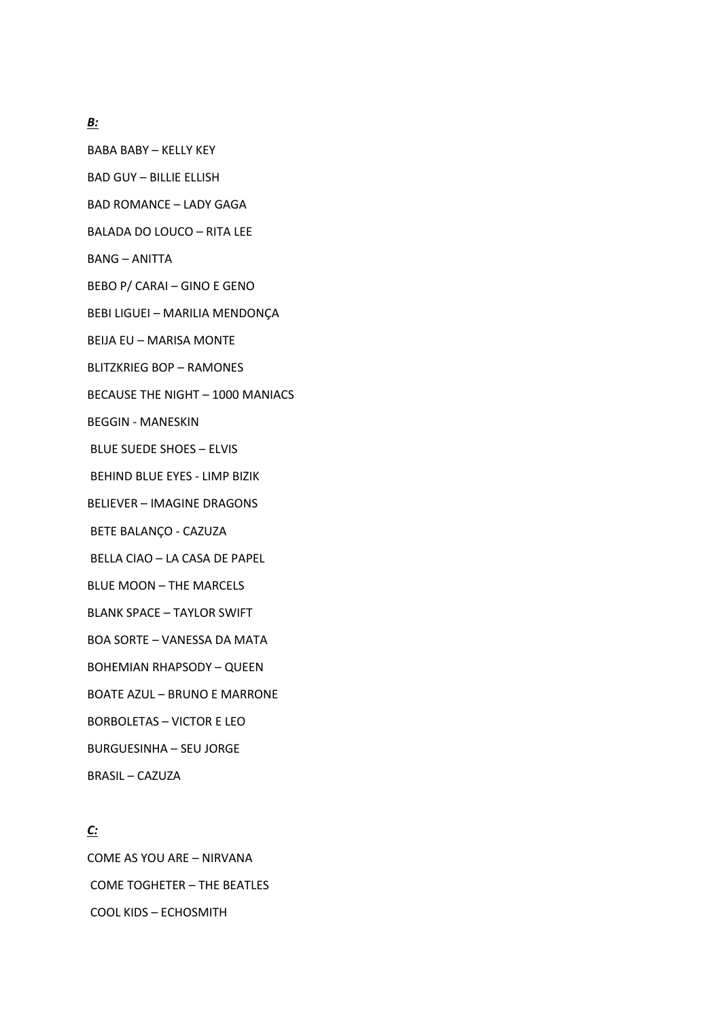### *B:*

BABA BABY – KELLY KEY

BAD GUY – BILLIE ELLISH

BAD ROMANCE – LADY GAGA

BALADA DO LOUCO – RITA LEE

BANG – ANITTA

BEBO P/ CARAI – GINO E GENO

BEBI LIGUEI – MARILIA MENDONÇA

BEIJA EU – MARISA MONTE

BLITZKRIEG BOP – RAMONES

BECAUSE THE NIGHT – 1000 MANIACS

BEGGIN - MANESKIN

BLUE SUEDE SHOES – ELVIS

BEHIND BLUE EYES - LIMP BIZIK

BELIEVER – IMAGINE DRAGONS

BETE BALANÇO - CAZUZA

BELLA CIAO – LA CASA DE PAPEL

BLUE MOON – THE MARCELS

BLANK SPACE – TAYLOR SWIFT

BOA SORTE – VANESSA DA MATA

BOHEMIAN RHAPSODY – QUEEN

BOATE AZUL – BRUNO E MARRONE

BORBOLETAS – VICTOR E LEO

BURGUESINHA – SEU JORGE

BRASIL – CAZUZA

# *C:*

COME AS YOU ARE – NIRVANA COME TOGHETER – THE BEATLES COOL KIDS – ECHOSMITH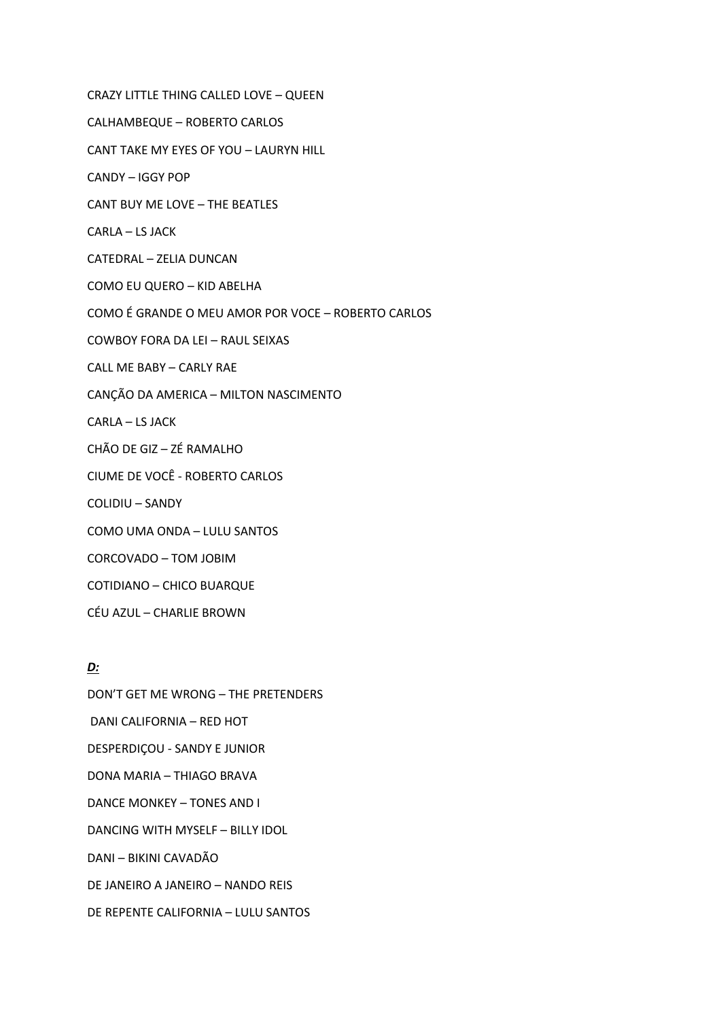CRAZY LITTLE THING CALLED LOVE – QUEEN CALHAMBEQUE – ROBERTO CARLOS CANT TAKE MY EYES OF YOU – LAURYN HILL CANDY – IGGY POP CANT BUY ME LOVE – THE BEATLES CARLA – LS JACK CATEDRAL – ZELIA DUNCAN COMO EU QUERO – KID ABELHA COMO É GRANDE O MEU AMOR POR VOCE – ROBERTO CARLOS COWBOY FORA DA LEI – RAUL SEIXAS CALL ME BABY – CARLY RAE CANÇÃO DA AMERICA – MILTON NASCIMENTO CARLA – LS JACK CHÃO DE GIZ – ZÉ RAMALHO CIUME DE VOCÊ - ROBERTO CARLOS COLIDIU – SANDY COMO UMA ONDA – LULU SANTOS CORCOVADO – TOM JOBIM COTIDIANO – CHICO BUARQUE CÉU AZUL – CHARLIE BROWN

#### *D:*

DON'T GET ME WRONG – THE PRETENDERS DANI CALIFORNIA – RED HOT DESPERDIÇOU - SANDY E JUNIOR DONA MARIA – THIAGO BRAVA DANCE MONKEY – TONES AND I DANCING WITH MYSELF – BILLY IDOL DANI – BIKINI CAVADÃO DE JANEIRO A JANEIRO – NANDO REIS DE REPENTE CALIFORNIA – LULU SANTOS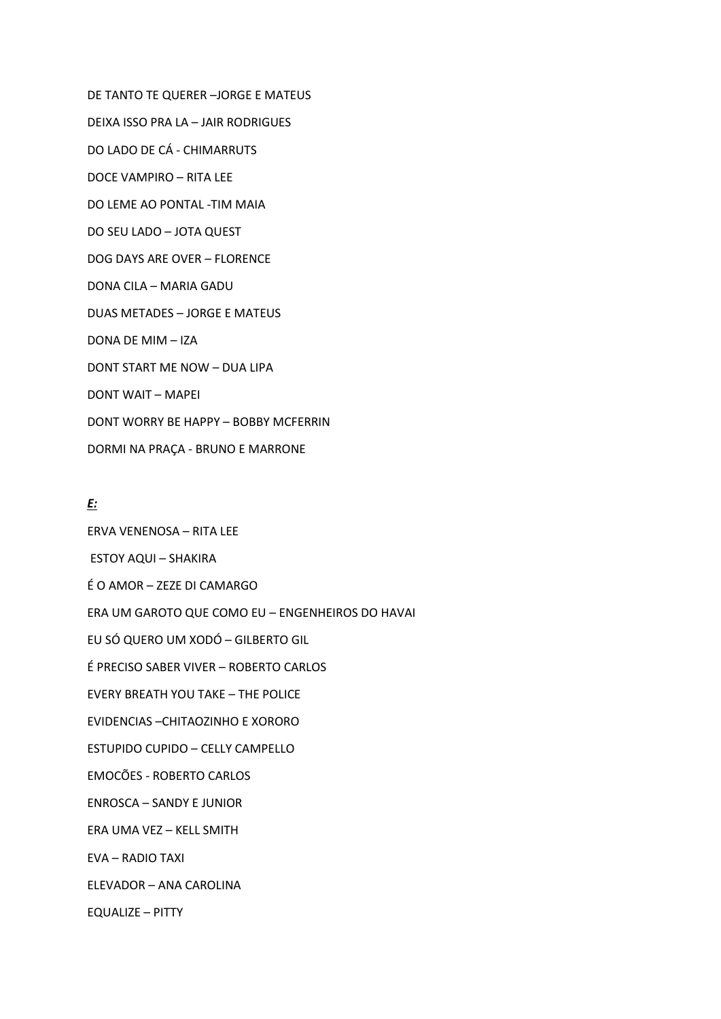DE TANTO TE QUERER - JORGE E MATEUS DEIXA ISSO PRA LA - JAIR RODRIGUES DO LADO DE CÁ - CHIMARRUTS DOCE VAMPIRO - RITA LEE DO LEME AO PONTAL -TIM MAIA DO SEU LADO - JOTA QUEST DOG DAYS ARE OVER - FLORENCE DONA CILA - MARIA GADU **DUAS METADES - JORGE E MATEUS** DONA DE MIM - IZA DONT START ME NOW - DUA LIPA **DONT WAIT - MAPEL** DONT WORRY BE HAPPY - BOBBY MCFERRIN DORMI NA PRAÇA - BRUNO E MARRONE

### <u>E:</u>

ERVA VENENOSA - RITA LEE **ESTOY AQUI - SHAKIRA** É O AMOR - ZEZE DI CAMARGO ERA UM GAROTO QUE COMO EU - ENGENHEIROS DO HAVAI EU SÓ QUERO UM XODÓ - GILBERTO GIL É PRECISO SABER VIVER - ROBERTO CARLOS **EVERY BREATH YOU TAKE - THE POLICE** EVIDENCIAS - CHITAOZINHO E XORORO ESTUPIDO CUPIDO - CELLY CAMPELLO **EMOCÕES - ROBERTO CARLOS ENROSCA - SANDY E JUNIOR** ERA UMA VEZ - KELL SMITH EVA - RADIO TAXI ELEVADOR - ANA CAROLINA **EQUALIZE - PITTY**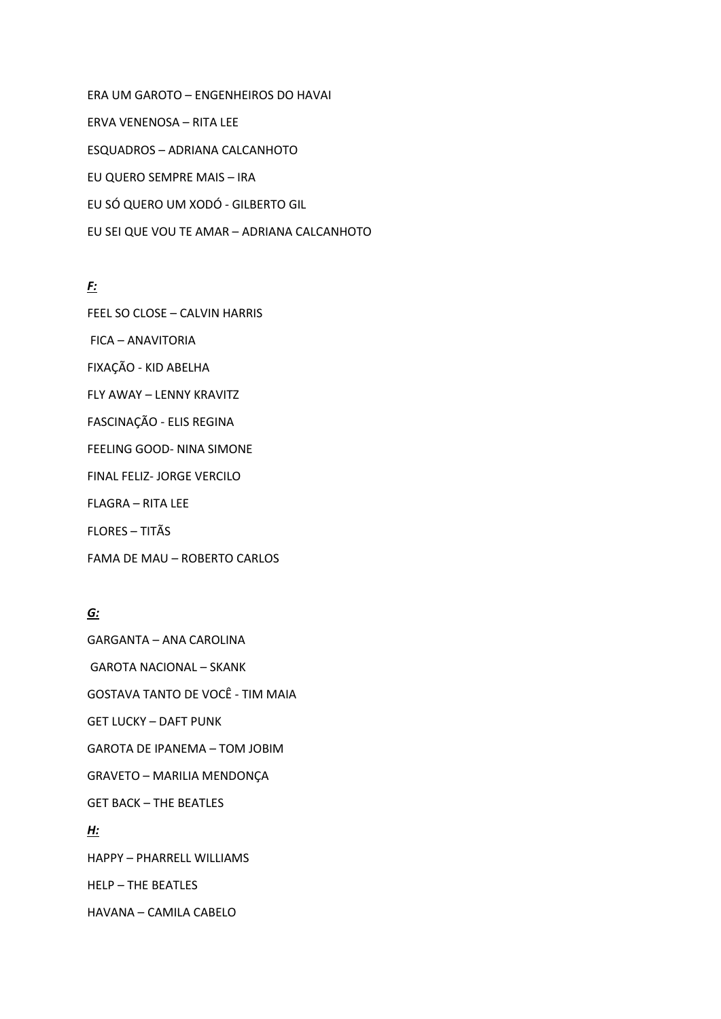ERA UM GAROTO – ENGENHEIROS DO HAVAI ERVA VENENOSA – RITA LEE ESQUADROS – ADRIANA CALCANHOTO EU QUERO SEMPRE MAIS – IRA EU SÓ QUERO UM XODÓ - GILBERTO GIL EU SEI QUE VOU TE AMAR – ADRIANA CALCANHOTO

# *F:*

FEEL SO CLOSE – CALVIN HARRIS

FICA – ANAVITORIA

FIXAÇÃO - KID ABELHA

FLY AWAY – LENNY KRAVITZ

FASCINAÇÃO - ELIS REGINA

FEELING GOOD- NINA SIMONE

FINAL FELIZ- JORGE VERCILO

FLAGRA – RITA LEE

FLORES – TITÃS

FAMA DE MAU – ROBERTO CARLOS

# *G:*

GARGANTA – ANA CAROLINA GAROTA NACIONAL – SKANK GOSTAVA TANTO DE VOCÊ - TIM MAIA GET LUCKY – DAFT PUNK GAROTA DE IPANEMA – TOM JOBIM GRAVETO – MARILIA MENDONÇA GET BACK – THE BEATLES *H:* HAPPY – PHARRELL WILLIAMS HELP – THE BEATLES HAVANA – CAMILA CABELO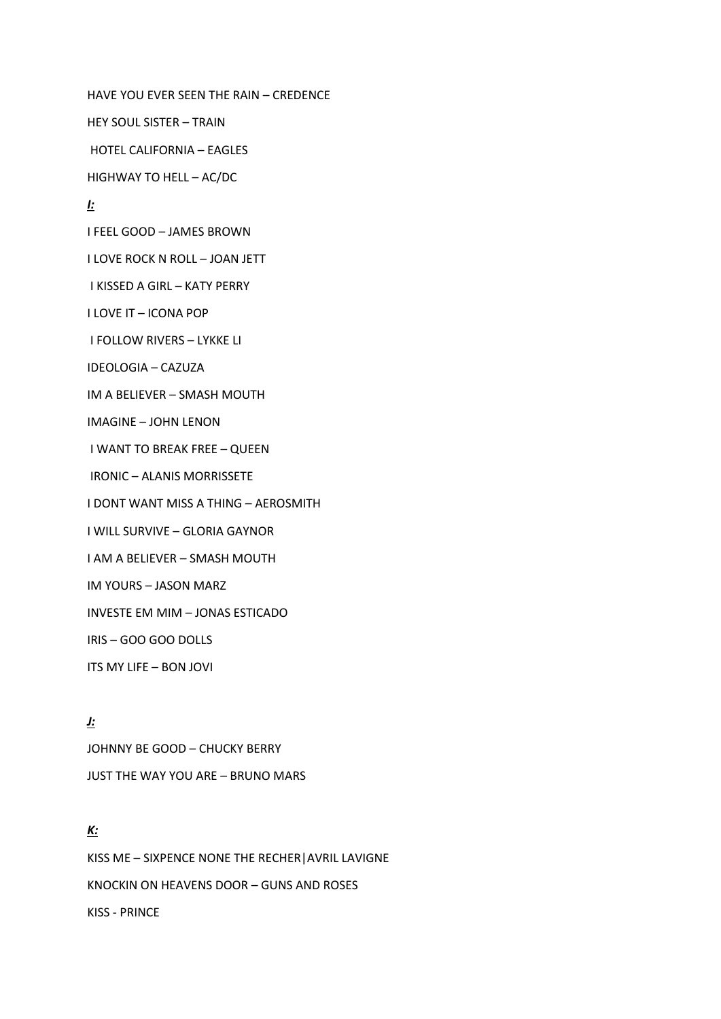HAVE YOU EVER SEEN THE RAIN – CREDENCE HEY SOUL SISTER – TRAIN HOTEL CALIFORNIA – EAGLES HIGHWAY TO HELL – AC/DC *I:* I FEEL GOOD – JAMES BROWN I LOVE ROCK N ROLL – JOAN JETT I KISSED A GIRL – KATY PERRY I LOVE IT – ICONA POP I FOLLOW RIVERS – LYKKE LI IDEOLOGIA – CAZUZA IM A BELIEVER – SMASH MOUTH IMAGINE – JOHN LENON I WANT TO BREAK FREE – QUEEN IRONIC – ALANIS MORRISSETE I DONT WANT MISS A THING – AEROSMITH I WILL SURVIVE – GLORIA GAYNOR I AM A BELIEVER – SMASH MOUTH IM YOURS – JASON MARZ INVESTE EM MIM – JONAS ESTICADO IRIS – GOO GOO DOLLS ITS MY LIFE – BON JOVI

*J:* JOHNNY BE GOOD – CHUCKY BERRY JUST THE WAY YOU ARE – BRUNO MARS

# *K:*

KISS ME – SIXPENCE NONE THE RECHER|AVRIL LAVIGNE KNOCKIN ON HEAVENS DOOR – GUNS AND ROSES KISS - PRINCE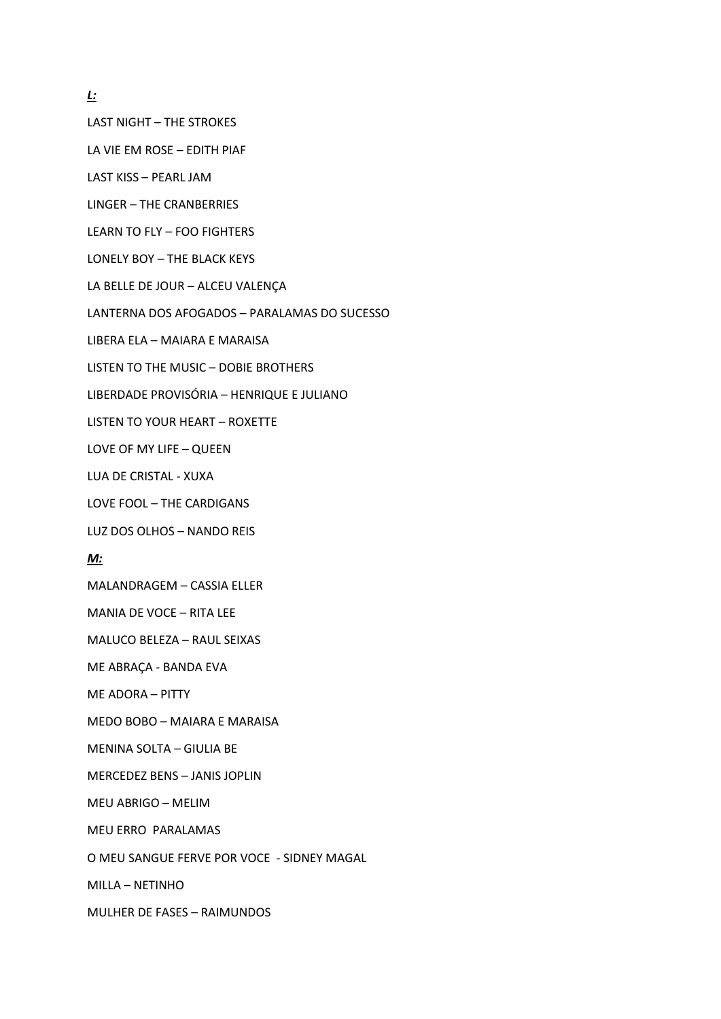*L:*

LAST NIGHT – THE STROKES

LA VIE EM ROSE – EDITH PIAF

LAST KISS – PEARL JAM

LINGER – THE CRANBERRIES

LEARN TO FLY – FOO FIGHTERS

LONELY BOY – THE BLACK KEYS

LA BELLE DE JOUR – ALCEU VALENÇA

LANTERNA DOS AFOGADOS – PARALAMAS DO SUCESSO

LIBERA ELA – MAIARA E MARAISA

LISTEN TO THE MUSIC – DOBIE BROTHERS

LIBERDADE PROVISÓRIA – HENRIQUE E JULIANO

LISTEN TO YOUR HEART – ROXETTE

LOVE OF MY LIFE – QUEEN

LUA DE CRISTAL - XUXA

LOVE FOOL – THE CARDIGANS

LUZ DOS OLHOS – NANDO REIS

### *M:*

MALANDRAGEM – CASSIA ELLER

MANIA DE VOCE – RITA LEE

MALUCO BELEZA – RAUL SEIXAS

ME ABRAÇA - BANDA EVA

ME ADORA – PITTY

MEDO BOBO – MAIARA E MARAISA

MENINA SOLTA – GIULIA BE

MERCEDEZ BENS – JANIS JOPLIN

MEU ABRIGO – MELIM

MEU ERRO PARALAMAS

O MEU SANGUE FERVE POR VOCE - SIDNEY MAGAL

MILLA – NETINHO

MULHER DE FASES – RAIMUNDOS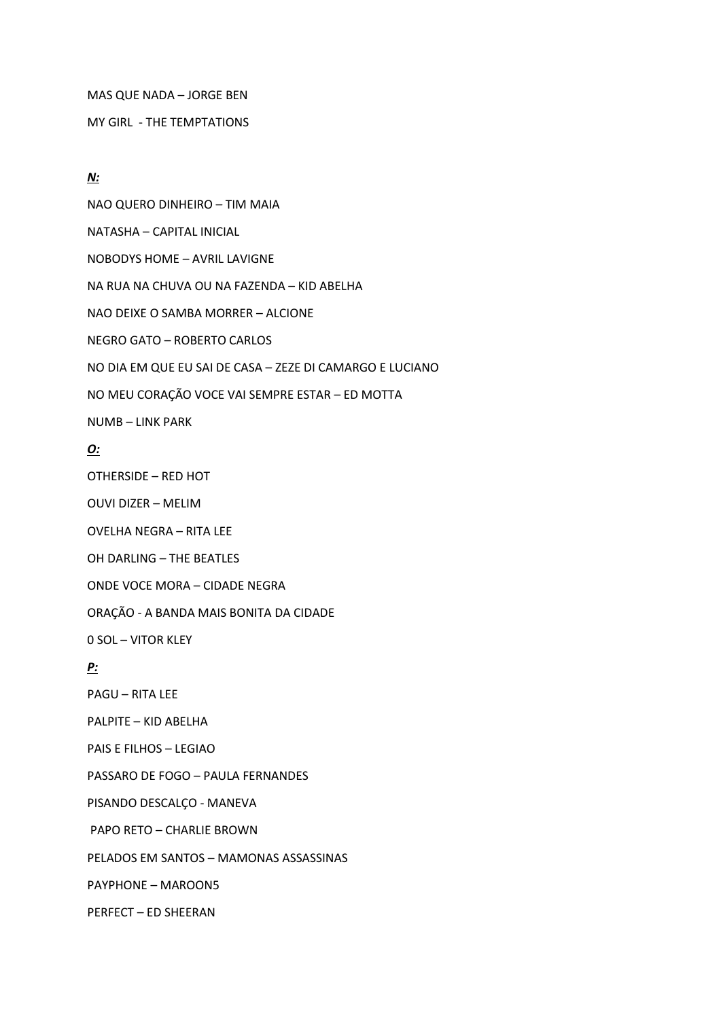MAS QUE NADA – JORGE BEN

MY GIRL - THE TEMPTATIONS

### *N:*

NAO QUERO DINHEIRO – TIM MAIA NATASHA – CAPITAL INICIAL NOBODYS HOME – AVRIL LAVIGNE NA RUA NA CHUVA OU NA FAZENDA – KID ABELHA NAO DEIXE O SAMBA MORRER – ALCIONE NEGRO GATO – ROBERTO CARLOS NO DIA EM QUE EU SAI DE CASA – ZEZE DI CAMARGO E LUCIANO NO MEU CORAÇÃO VOCE VAI SEMPRE ESTAR – ED MOTTA NUMB – LINK PARK

# *O:*

OTHERSIDE – RED HOT

OUVI DIZER – MELIM

OVELHA NEGRA – RITA LEE

OH DARLING – THE BEATLES

ONDE VOCE MORA – CIDADE NEGRA

ORAÇÃO - A BANDA MAIS BONITA DA CIDADE

0 SOL – VITOR KLEY

## *P:*

PAGU – RITA LEE

PALPITE – KID ABELHA

PAIS E FILHOS – LEGIAO

PASSARO DE FOGO – PAULA FERNANDES

PISANDO DESCALÇO - MANEVA

PAPO RETO – CHARLIE BROWN

PELADOS EM SANTOS – MAMONAS ASSASSINAS

PAYPHONE – MAROON5

PERFECT – ED SHEERAN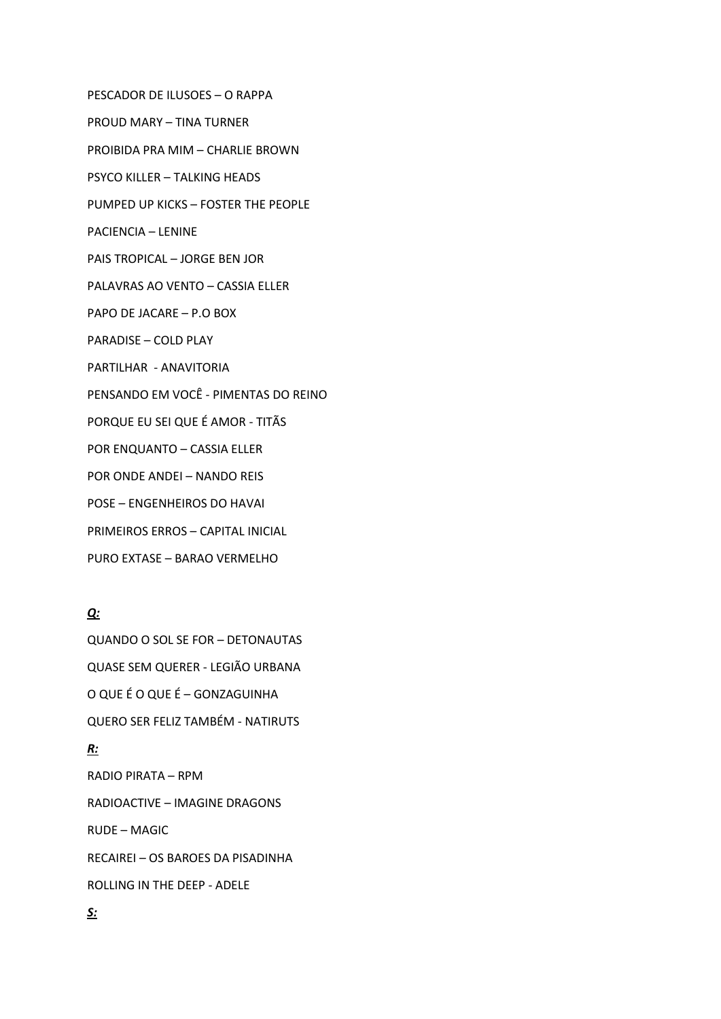PESCADOR DE ILUSOES – O RAPPA PROUD MARY – TINA TURNER PROIBIDA PRA MIM – CHARLIE BROWN PSYCO KILLER – TALKING HEADS PUMPED UP KICKS – FOSTER THE PEOPLE PACIENCIA – LENINE PAIS TROPICAL – JORGE BEN JOR PALAVRAS AO VENTO – CASSIA ELLER PAPO DE JACARE – P.O BOX PARADISE – COLD PLAY PARTILHAR - ANAVITORIA PENSANDO EM VOCÊ - PIMENTAS DO REINO PORQUE EU SEI QUE É AMOR - TITÃS POR ENQUANTO – CASSIA ELLER POR ONDE ANDEI – NANDO REIS POSE – ENGENHEIROS DO HAVAI PRIMEIROS ERROS – CAPITAL INICIAL PURO EXTASE – BARAO VERMELHO

# *Q:*

QUANDO O SOL SE FOR – DETONAUTAS QUASE SEM QUERER - LEGIÃO URBANA O QUE É O QUE É – GONZAGUINHA QUERO SER FELIZ TAMBÉM - NATIRUTS *R:*

RADIO PIRATA – RPM RADIOACTIVE – IMAGINE DRAGONS RUDE – MAGIC RECAIREI – OS BAROES DA PISADINHA ROLLING IN THE DEEP - ADELE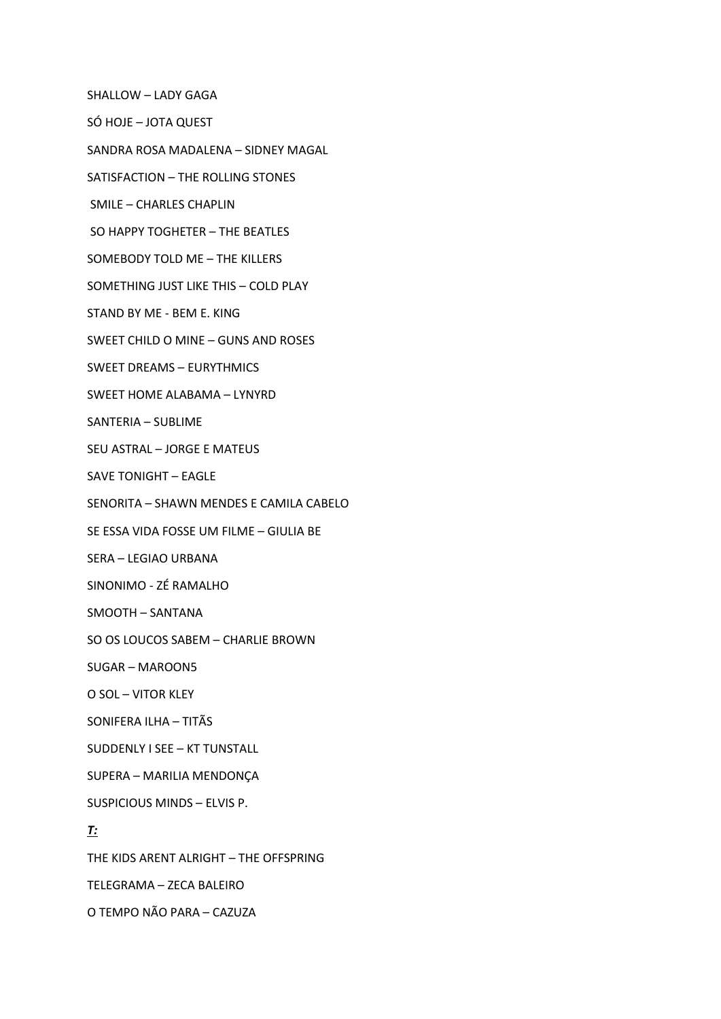SHALLOW – LADY GAGA

SÓ HOJE – JOTA QUEST

SANDRA ROSA MADALENA – SIDNEY MAGAL

SATISFACTION – THE ROLLING STONES

SMILE – CHARLES CHAPLIN

SO HAPPY TOGHETER – THE BEATLES

SOMEBODY TOLD ME – THE KILLERS

SOMETHING JUST LIKE THIS – COLD PLAY

STAND BY ME - BEM E. KING

SWEET CHILD O MINE – GUNS AND ROSES

SWEET DREAMS – EURYTHMICS

SWEET HOME ALABAMA – LYNYRD

SANTERIA – SUBLIME

SEU ASTRAL – JORGE E MATEUS

SAVE TONIGHT – EAGLE

SENORITA – SHAWN MENDES E CAMILA CABELO

SE ESSA VIDA FOSSE UM FILME – GIULIA BE

SERA – LEGIAO URBANA

SINONIMO - ZÉ RAMALHO

SMOOTH – SANTANA

SO OS LOUCOS SABEM – CHARLIE BROWN

SUGAR – MAROON5

O SOL – VITOR KLEY

SONIFERA ILHA – TITÃS

SUDDENLY I SEE – KT TUNSTALL

SUPERA – MARILIA MENDONÇA

SUSPICIOUS MINDS – ELVIS P.

## *T:*

THE KIDS ARENT ALRIGHT – THE OFFSPRING TELEGRAMA – ZECA BALEIRO

O TEMPO NÃO PARA – CAZUZA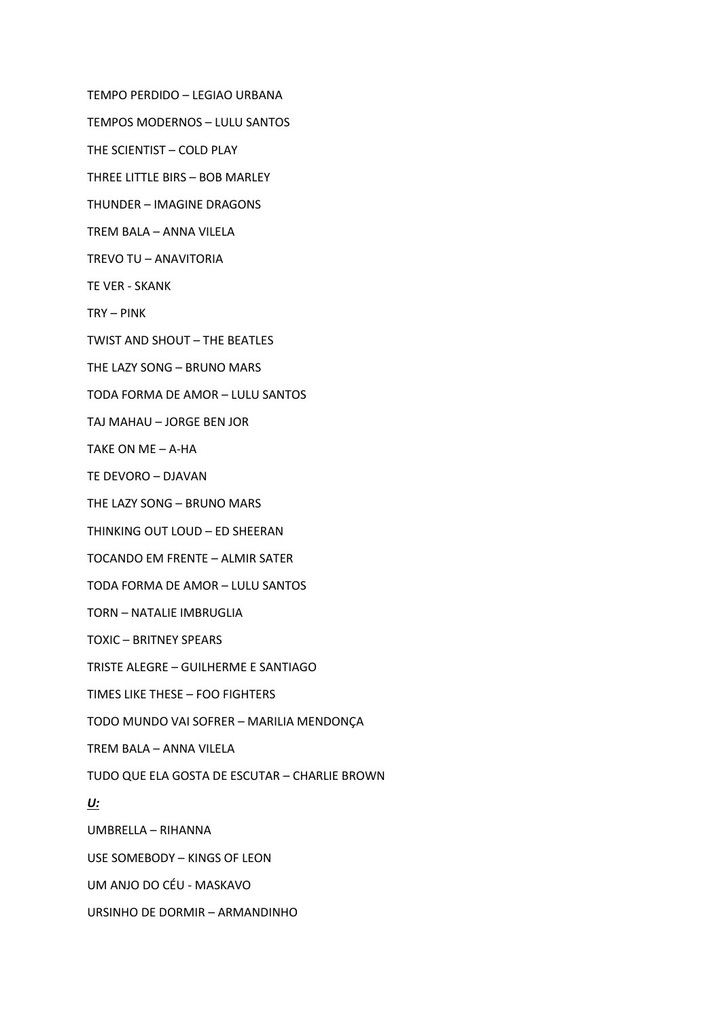TEMPO PERDIDO – LEGIAO URBANA

TEMPOS MODERNOS – LULU SANTOS

THE SCIENTIST – COLD PLAY

THREE LITTLE BIRS – BOB MARLEY

THUNDER – IMAGINE DRAGONS

TREM BALA – ANNA VILELA

TREVO TU – ANAVITORIA

TE VER - SKANK

TRY – PINK

TWIST AND SHOUT – THE BEATLES

THE LAZY SONG – BRUNO MARS

TODA FORMA DE AMOR – LULU SANTOS

TAJ MAHAU – JORGE BEN JOR

TAKE ON ME – A-HA

TE DEVORO – DJAVAN

THE LAZY SONG – BRUNO MARS

THINKING OUT LOUD – ED SHEERAN

TOCANDO EM FRENTE – ALMIR SATER

TODA FORMA DE AMOR – LULU SANTOS

TORN – NATALIE IMBRUGLIA

TOXIC – BRITNEY SPEARS

TRISTE ALEGRE – GUILHERME E SANTIAGO

TIMES LIKE THESE – FOO FIGHTERS

TODO MUNDO VAI SOFRER – MARILIA MENDONÇA

TREM BALA – ANNA VILELA

TUDO QUE ELA GOSTA DE ESCUTAR – CHARLIE BROWN

#### *U:*

UMBRELLA – RIHANNA

USE SOMEBODY – KINGS OF LEON

UM ANJO DO CÉU - MASKAVO

URSINHO DE DORMIR – ARMANDINHO